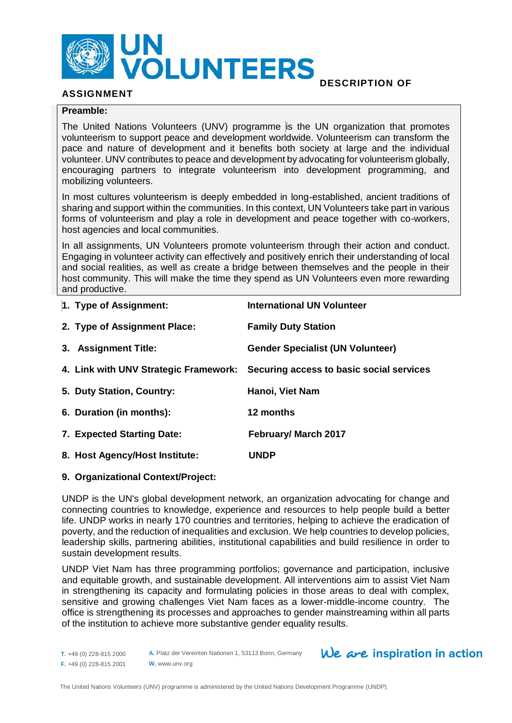

# **ASSIGNMENT**

# **DESCRIPTION OF**

# **Preamble:**

The United Nations Volunteers (UNV) programme is the UN organization that promotes volunteerism to support peace and development worldwide. Volunteerism can transform the pace and nature of development and it benefits both society at large and the individual volunteer. UNV contributes to peace and development by advocating for volunteerism globally, encouraging partners to integrate volunteerism into development programming, and mobilizing volunteers.

In most cultures volunteerism is deeply embedded in long-established, ancient traditions of sharing and support within the communities. In this context, UN Volunteers take part in various forms of volunteerism and play a role in development and peace together with co-workers, host agencies and local communities.

In all assignments, UN Volunteers promote volunteerism through their action and conduct. Engaging in volunteer activity can effectively and positively enrich their understanding of local and social realities, as well as create a bridge between themselves and the people in their host community. This will make the time they spend as UN Volunteers even more rewarding and productive.

| 1. Type of Assignment:         | <b>International UN Volunteer</b>                                              |
|--------------------------------|--------------------------------------------------------------------------------|
| 2. Type of Assignment Place:   | <b>Family Duty Station</b>                                                     |
| 3. Assignment Title:           | <b>Gender Specialist (UN Volunteer)</b>                                        |
|                                | 4. Link with UNV Strategic Framework: Securing access to basic social services |
| 5. Duty Station, Country:      | Hanoi, Viet Nam                                                                |
| 6. Duration (in months):       | 12 months                                                                      |
| 7. Expected Starting Date:     | <b>February/ March 2017</b>                                                    |
| 8. Host Agency/Host Institute: | <b>UNDP</b>                                                                    |

### **9. Organizational Context/Project:**

UNDP is the UN's global development network, an organization advocating for change and connecting countries to knowledge, experience and resources to help people build a better life. UNDP works in nearly 170 countries and territories, helping to achieve the eradication of poverty, and the reduction of inequalities and exclusion. We help countries to develop policies, leadership skills, partnering abilities, institutional capabilities and build resilience in order to sustain development results.

UNDP Viet Nam has three programming portfolios; governance and participation, inclusive and equitable growth, and sustainable development. All interventions aim to assist Viet Nam in strengthening its capacity and formulating policies in those areas to deal with complex, sensitive and growing challenges Viet Nam faces as a lower-middle-income country. The office is strengthening its processes and approaches to gender mainstreaming within all parts of the institution to achieve more substantive gender equality results.

**T.** +49 (0) 228-815 2000 **F.** +49 (0) 228-815 2001 **A.** Platz der Vereinten Nationen 1, 53113 Bonn, Germany **W.** www.unv.org

 $We$  are inspiration in action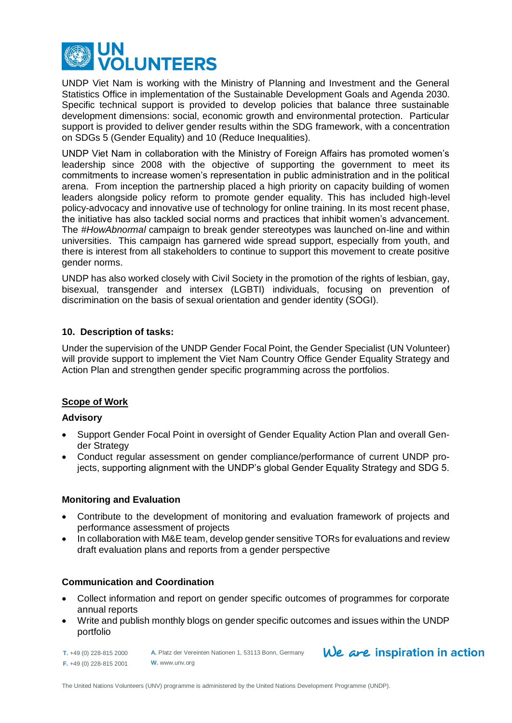

UNDP Viet Nam is working with the Ministry of Planning and Investment and the General Statistics Office in implementation of the Sustainable Development Goals and Agenda 2030. Specific technical support is provided to develop policies that balance three sustainable development dimensions: social, economic growth and environmental protection. Particular support is provided to deliver gender results within the SDG framework, with a concentration on SDGs 5 (Gender Equality) and 10 (Reduce Inequalities).

UNDP Viet Nam in collaboration with the Ministry of Foreign Affairs has promoted women's leadership since 2008 with the objective of supporting the government to meet its commitments to increase women's representation in public administration and in the political arena. From inception the partnership placed a high priority on capacity building of women leaders alongside policy reform to promote gender equality. This has included high-level policy-advocacy and innovative use of technology for online training. In its most recent phase, the initiative has also tackled social norms and practices that inhibit women's advancement. The *#HowAbnormal* campaign to break gender stereotypes was launched on-line and within universities. This campaign has garnered wide spread support, especially from youth, and there is interest from all stakeholders to continue to support this movement to create positive gender norms.

UNDP has also worked closely with Civil Society in the promotion of the rights of lesbian, gay, bisexual, transgender and intersex (LGBTI) individuals, focusing on prevention of discrimination on the basis of sexual orientation and gender identity (SOGI).

### **10. Description of tasks:**

Under the supervision of the UNDP Gender Focal Point, the Gender Specialist (UN Volunteer) will provide support to implement the Viet Nam Country Office Gender Equality Strategy and Action Plan and strengthen gender specific programming across the portfolios.

### **Scope of Work**

### **Advisory**

- Support Gender Focal Point in oversight of Gender Equality Action Plan and overall Gender Strategy
- Conduct regular assessment on gender compliance/performance of current UNDP projects, supporting alignment with the UNDP's global Gender Equality Strategy and SDG 5.

### **Monitoring and Evaluation**

- Contribute to the development of monitoring and evaluation framework of projects and performance assessment of projects
- In collaboration with M&E team, develop gender sensitive TORs for evaluations and review draft evaluation plans and reports from a gender perspective

### **Communication and Coordination**

- Collect information and report on gender specific outcomes of programmes for corporate annual reports
- Write and publish monthly blogs on gender specific outcomes and issues within the UNDP portfolio

**T.** +49 (0) 228-815 2000 **F.** +49 (0) 228-815 2001

**A.** Platz der Vereinten Nationen 1, 53113 Bonn, Germany **W.** www.unv.org

 $We$  are inspiration in action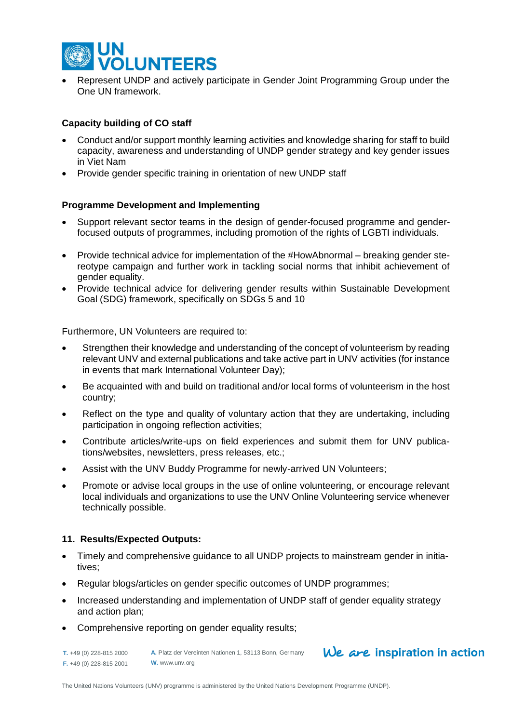

 Represent UNDP and actively participate in Gender Joint Programming Group under the One UN framework.

# **Capacity building of CO staff**

- Conduct and/or support monthly learning activities and knowledge sharing for staff to build capacity, awareness and understanding of UNDP gender strategy and key gender issues in Viet Nam
- Provide gender specific training in orientation of new UNDP staff

### **Programme Development and Implementing**

- Support relevant sector teams in the design of gender-focused programme and genderfocused outputs of programmes, including promotion of the rights of LGBTI individuals.
- Provide technical advice for implementation of the #HowAbnormal breaking gender stereotype campaign and further work in tackling social norms that inhibit achievement of gender equality.
- Provide technical advice for delivering gender results within Sustainable Development Goal (SDG) framework, specifically on SDGs 5 and 10

Furthermore, UN Volunteers are required to:

- Strengthen their knowledge and understanding of the concept of volunteerism by reading relevant UNV and external publications and take active part in UNV activities (for instance in events that mark International Volunteer Day);
- Be acquainted with and build on traditional and/or local forms of volunteerism in the host country;
- Reflect on the type and quality of voluntary action that they are undertaking, including participation in ongoing reflection activities;
- Contribute articles/write-ups on field experiences and submit them for UNV publications/websites, newsletters, press releases, etc.;
- Assist with the UNV Buddy Programme for newly-arrived UN Volunteers;
- Promote or advise local groups in the use of online volunteering, or encourage relevant local individuals and organizations to use the UNV Online Volunteering service whenever technically possible.

### **11. Results/Expected Outputs:**

- Timely and comprehensive guidance to all UNDP projects to mainstream gender in initiatives;
- Regular blogs/articles on gender specific outcomes of UNDP programmes;
- Increased understanding and implementation of UNDP staff of gender equality strategy and action plan;
- Comprehensive reporting on gender equality results;

**T.** +49 (0) 228-815 2000 **F.** +49 (0) 228-815 2001 **A.** Platz der Vereinten Nationen 1, 53113 Bonn, Germany **W.** www.unv.org

# $We$  are inspiration in action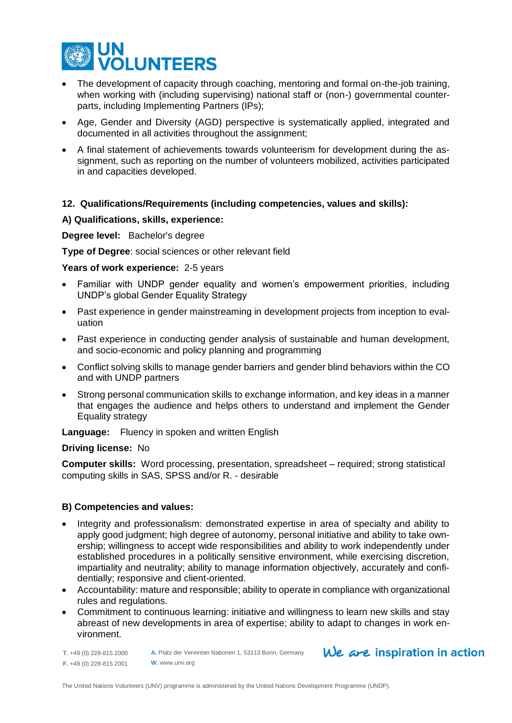

- The development of capacity through coaching, mentoring and formal on-the-job training. when working with (including supervising) national staff or (non-) governmental counterparts, including Implementing Partners (IPs);
- Age, Gender and Diversity (AGD) perspective is systematically applied, integrated and documented in all activities throughout the assignment;
- A final statement of achievements towards volunteerism for development during the assignment, such as reporting on the number of volunteers mobilized, activities participated in and capacities developed.

### **12. Qualifications/Requirements (including competencies, values and skills):**

### **A) Qualifications, skills, experience:**

**Degree level:** Bachelor's degree

**Type of Degree**: social sciences or other relevant field

**Years of work experience:** 2-5 years

- Familiar with UNDP gender equality and women's empowerment priorities, including UNDP's global Gender Equality Strategy
- Past experience in gender mainstreaming in development projects from inception to evaluation
- Past experience in conducting gender analysis of sustainable and human development, and socio-economic and policy planning and programming
- Conflict solving skills to manage gender barriers and gender blind behaviors within the CO and with UNDP partners
- Strong personal communication skills to exchange information, and key ideas in a manner that engages the audience and helps others to understand and implement the Gender Equality strategy

**Language:** Fluency in spoken and written English

### **Driving license:** No

**Computer skills:** Word processing, presentation, spreadsheet – required; strong statistical computing skills in SAS, SPSS and/or R. - desirable

### **B) Competencies and values:**

- Integrity and professionalism: demonstrated expertise in area of specialty and ability to apply good judgment; high degree of autonomy, personal initiative and ability to take ownership; willingness to accept wide responsibilities and ability to work independently under established procedures in a politically sensitive environment, while exercising discretion, impartiality and neutrality; ability to manage information objectively, accurately and confidentially; responsive and client-oriented.
- Accountability: mature and responsible; ability to operate in compliance with organizational rules and regulations.
- Commitment to continuous learning: initiative and willingness to learn new skills and stay abreast of new developments in area of expertise; ability to adapt to changes in work environment.

**T.** +49 (0) 228-815 2000 **F.** +49 (0) 228-815 2001

**A.** Platz der Vereinten Nationen 1, 53113 Bonn, Germany **W.** www.unv.org

# $We$  are inspiration in action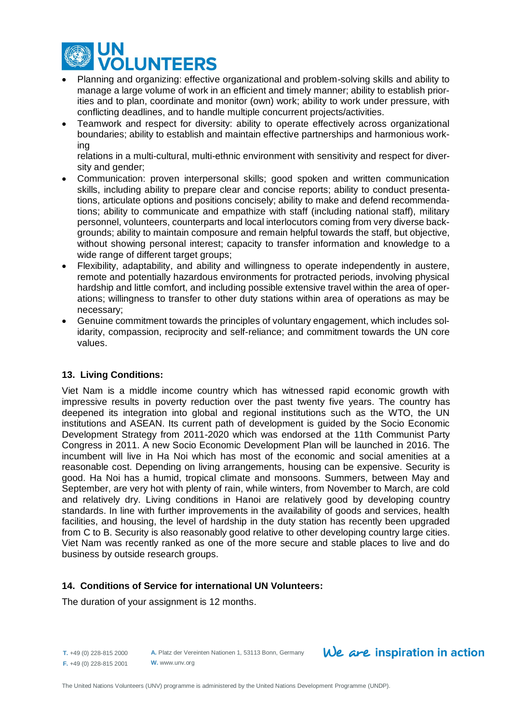

- Planning and organizing: effective organizational and problem-solving skills and ability to manage a large volume of work in an efficient and timely manner; ability to establish priorities and to plan, coordinate and monitor (own) work; ability to work under pressure, with conflicting deadlines, and to handle multiple concurrent projects/activities.
- Teamwork and respect for diversity: ability to operate effectively across organizational boundaries; ability to establish and maintain effective partnerships and harmonious working

relations in a multi-cultural, multi-ethnic environment with sensitivity and respect for diversity and gender;

- Communication: proven interpersonal skills; good spoken and written communication skills, including ability to prepare clear and concise reports; ability to conduct presentations, articulate options and positions concisely; ability to make and defend recommendations; ability to communicate and empathize with staff (including national staff), military personnel, volunteers, counterparts and local interlocutors coming from very diverse backgrounds; ability to maintain composure and remain helpful towards the staff, but objective, without showing personal interest; capacity to transfer information and knowledge to a wide range of different target groups;
- Flexibility, adaptability, and ability and willingness to operate independently in austere, remote and potentially hazardous environments for protracted periods, involving physical hardship and little comfort, and including possible extensive travel within the area of operations; willingness to transfer to other duty stations within area of operations as may be necessary;
- Genuine commitment towards the principles of voluntary engagement, which includes solidarity, compassion, reciprocity and self-reliance; and commitment towards the UN core values.

### **13. Living Conditions:**

Viet Nam is a middle income country which has witnessed rapid economic growth with impressive results in poverty reduction over the past twenty five years. The country has deepened its integration into global and regional institutions such as the WTO, the UN institutions and ASEAN. Its current path of development is guided by the Socio Economic Development Strategy from 2011-2020 which was endorsed at the 11th Communist Party Congress in 2011. A new Socio Economic Development Plan will be launched in 2016. The incumbent will live in Ha Noi which has most of the economic and social amenities at a reasonable cost. Depending on living arrangements, housing can be expensive. Security is good. Ha Noi has a humid, tropical climate and monsoons. Summers, between May and September, are very hot with plenty of rain, while winters, from November to March, are cold and relatively dry. Living conditions in Hanoi are relatively good by developing country standards. In line with further improvements in the availability of goods and services, health facilities, and housing, the level of hardship in the duty station has recently been upgraded from C to B. Security is also reasonably good relative to other developing country large cities. Viet Nam was recently ranked as one of the more secure and stable places to live and do business by outside research groups.

### **14. Conditions of Service for international UN Volunteers:**

The duration of your assignment is 12 months.

**T.** +49 (0) 228-815 2000 **F.** +49 (0) 228-815 2001

**A.** Platz der Vereinten Nationen 1, 53113 Bonn, Germany **W.** www.unv.org